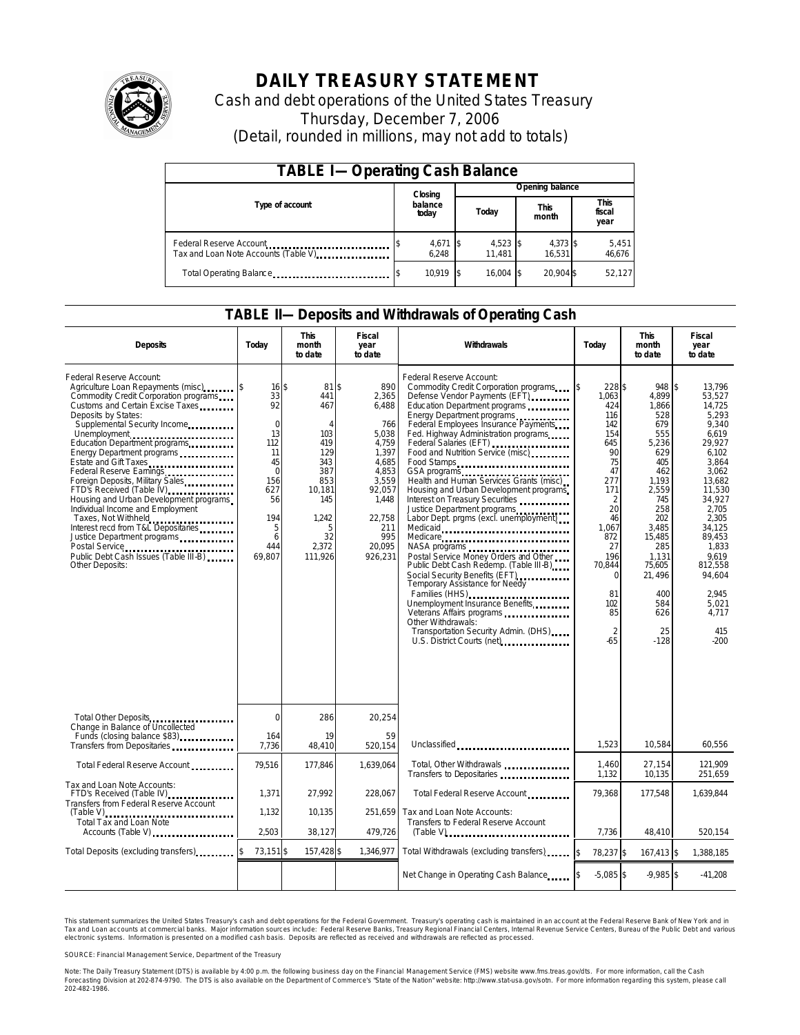

# **DAILY TREASURY STATEMENT**

Cash and debt operations of the United States Treasury Thursday, December 7, 2006 (Detail, rounded in millions, may not add to totals)

| <b>TABLE I-Operating Cash Balance</b>                           |                     |                      |                      |                               |  |  |  |
|-----------------------------------------------------------------|---------------------|----------------------|----------------------|-------------------------------|--|--|--|
|                                                                 | Closing             | Opening balance      |                      |                               |  |  |  |
| Type of account                                                 | balance<br>today    | Today                | <b>This</b><br>month | <b>This</b><br>fiscal<br>year |  |  |  |
| Federal Reserve Account<br>Tax and Loan Note Accounts (Table V) | $4,671$ \$<br>6.248 | $4,523$ \$<br>11.481 | 4,373 \$<br>16.531   | 5,451<br>46,676               |  |  |  |
| Total Operating Balance                                         | 10.919              | $16.004$ \$          | 20.904 \$            | 52.127                        |  |  |  |

### **TABLE II—Deposits and Withdrawals of Operating Cash**

| <b>Deposits</b>                                                                                                                                                                                                                                                                                                                                                                                                                                                                                                                                                                                       | Today                                                                                                                        | <b>This</b><br>month<br>to date                                                                                                        | Fiscal<br>year<br>to date                                                                                                                          | <b>Withdrawals</b>                                                                                                                                                                                                                                                                                                                                                                                                                                                                                                                                                                                                                                                                                                                                                                                                                                            | Today                                                                                                                                                                                               | <b>This</b><br>month<br>to date                                                                                                                                                                             | <b>Fiscal</b><br>year<br>to date                                                                                                                                                                                                                        |
|-------------------------------------------------------------------------------------------------------------------------------------------------------------------------------------------------------------------------------------------------------------------------------------------------------------------------------------------------------------------------------------------------------------------------------------------------------------------------------------------------------------------------------------------------------------------------------------------------------|------------------------------------------------------------------------------------------------------------------------------|----------------------------------------------------------------------------------------------------------------------------------------|----------------------------------------------------------------------------------------------------------------------------------------------------|---------------------------------------------------------------------------------------------------------------------------------------------------------------------------------------------------------------------------------------------------------------------------------------------------------------------------------------------------------------------------------------------------------------------------------------------------------------------------------------------------------------------------------------------------------------------------------------------------------------------------------------------------------------------------------------------------------------------------------------------------------------------------------------------------------------------------------------------------------------|-----------------------------------------------------------------------------------------------------------------------------------------------------------------------------------------------------|-------------------------------------------------------------------------------------------------------------------------------------------------------------------------------------------------------------|---------------------------------------------------------------------------------------------------------------------------------------------------------------------------------------------------------------------------------------------------------|
| Federal Reserve Account:<br>Agriculture Loan Repayments (misc) [\$<br>Commodity Credit Corporation programs<br>Customs and Certain Excise Taxes<br>Deposits by States:<br>Supplemental Security Income<br>Energy Department programs<br>Estate and Gift Taxes<br><br>Federal Reserve Earnings<br>Foreign Deposits, Military Sales<br>FTD's Received (Table IV)<br>Housing and Urban Development programs<br>Individual Income and Employment<br>Taxes, Not Withheld<br>Interest recd from T&L Depositaries<br>Justice Department programs<br>Public Debt Cash Issues (Table III-B)<br>Other Deposits: | 16S<br>33<br>92<br>$\mathbf 0$<br>13<br>112<br>11<br>45<br>$\mathbf 0$<br>156<br>627<br>56<br>194<br>5<br>6<br>444<br>69,807 | 81S<br>441<br>467<br>$\overline{A}$<br>103<br>419<br>129<br>343<br>387<br>853<br>10,181<br>145<br>1.242<br>5<br>32<br>2,372<br>111,926 | 890<br>2,365<br>6.488<br>766<br>5,038<br>4,759<br>1,397<br>4.685<br>4,853<br>3.559<br>92,057<br>1,448<br>22.758<br>211<br>995<br>20,095<br>926,231 | Federal Reserve Account:<br>Commodity Credit Corporation programs \ \ \ \ \<br>Defense Vendor Payments (EFT)<br>Education Department programs<br>Energy Department programs<br>Federal Employees Insurance Payments<br>Fed. Highway Administration programs<br>Federal Salaries (EFT)<br>Food and Nutrition Service (misc)<br>Food Stamps<br>Health and Human Services Grants (misc)<br>Housing and Urban Development programs<br>Interest on Treasury Securities<br>Justice Department programs<br>Labor Dept. prgms (excl. unemployment)<br>Medicaid<br>Medicare<br>NASA programs<br>Postal Service Money Orders and Other<br>Public Debt Cash Redemp. (Table III-B)<br>Social Security Benefits (EFT)<br>Temporary Assistance for Needy<br>Families (HHS)<br>Unemployment Insurance Benefits<br>Other Withdrawals:<br>Transportation Security Admin. (DHS) | 228\$<br>1.063<br>424<br>116<br>142<br>154<br>645<br>90<br>75<br>47<br>277<br>171<br>2<br>20<br>46<br>1,067<br>872<br>27<br>196<br>70,844<br>$\Omega$<br>81<br>102<br>85<br>$\mathfrak{p}$<br>$-65$ | 948<br>4,899<br>1,866<br>528<br>679<br>555<br>5,236<br>629<br>405<br>462<br>1.193<br>2,559<br>745<br>258<br>202<br>3.485<br>15,485<br>285<br>1,131<br>75,605<br>21,496<br>400<br>584<br>626<br>25<br>$-128$ | \$<br>13,796<br>53.527<br>14.725<br>5.293<br>9,340<br>6.619<br>29,927<br>6,102<br>3.864<br>3,062<br>13.682<br>11,530<br>34.927<br>2.705<br>2.305<br>34.125<br>89,453<br>1,833<br>9.619<br>812.558<br>94,604<br>2.945<br>5.021<br>4.717<br>415<br>$-200$ |
| Total Other Deposits<br>Change in Balance of Uncollected                                                                                                                                                                                                                                                                                                                                                                                                                                                                                                                                              | $\Omega$                                                                                                                     | 286                                                                                                                                    | 20,254                                                                                                                                             |                                                                                                                                                                                                                                                                                                                                                                                                                                                                                                                                                                                                                                                                                                                                                                                                                                                               |                                                                                                                                                                                                     |                                                                                                                                                                                                             |                                                                                                                                                                                                                                                         |
| Funds (closing balance \$83)<br>Transfers from Depositaries                                                                                                                                                                                                                                                                                                                                                                                                                                                                                                                                           | 164<br>7,736                                                                                                                 | 19<br>48,410                                                                                                                           | 59<br>520,154                                                                                                                                      | Unclassified<br>                                                                                                                                                                                                                                                                                                                                                                                                                                                                                                                                                                                                                                                                                                                                                                                                                                              | 1,523                                                                                                                                                                                               | 10.584                                                                                                                                                                                                      | 60.556                                                                                                                                                                                                                                                  |
| Total Federal Reserve Account                                                                                                                                                                                                                                                                                                                                                                                                                                                                                                                                                                         | 79,516                                                                                                                       | 177,846                                                                                                                                | 1.639.064                                                                                                                                          | Total, Other Withdrawals<br>Transfers to Depositaries                                                                                                                                                                                                                                                                                                                                                                                                                                                                                                                                                                                                                                                                                                                                                                                                         | 1,460<br>1,132                                                                                                                                                                                      | 27,154<br>10,135                                                                                                                                                                                            | 121.909<br>251,659                                                                                                                                                                                                                                      |
| Tax and Loan Note Accounts:<br>FTD's Received (Table IV)<br>Transfers from Federal Reserve Account                                                                                                                                                                                                                                                                                                                                                                                                                                                                                                    | 1.371                                                                                                                        | 27.992                                                                                                                                 | 228.067                                                                                                                                            | Total Federal Reserve Account                                                                                                                                                                                                                                                                                                                                                                                                                                                                                                                                                                                                                                                                                                                                                                                                                                 | 79.368                                                                                                                                                                                              | 177,548                                                                                                                                                                                                     | 1.639.844                                                                                                                                                                                                                                               |
| $(Table V)$<br><br>Total Tax and Loan Note<br>Accounts (Table V)                                                                                                                                                                                                                                                                                                                                                                                                                                                                                                                                      | 1,132<br>2,503                                                                                                               | 10,135<br>38,127                                                                                                                       | 251,659<br>479,726                                                                                                                                 | Tax and Loan Note Accounts:<br>Transfers to Federal Reserve Account                                                                                                                                                                                                                                                                                                                                                                                                                                                                                                                                                                                                                                                                                                                                                                                           | 7,736                                                                                                                                                                                               | 48,410                                                                                                                                                                                                      | 520,154                                                                                                                                                                                                                                                 |
| Total Deposits (excluding transfers).                                                                                                                                                                                                                                                                                                                                                                                                                                                                                                                                                                 | 73,151 \$                                                                                                                    | 157,428 \$                                                                                                                             | 1,346,977                                                                                                                                          | Total Withdrawals (excluding transfers)                                                                                                                                                                                                                                                                                                                                                                                                                                                                                                                                                                                                                                                                                                                                                                                                                       | 78,237 \$<br><sup>\$</sup>                                                                                                                                                                          | 167,413 \$                                                                                                                                                                                                  | 1,388,185                                                                                                                                                                                                                                               |
|                                                                                                                                                                                                                                                                                                                                                                                                                                                                                                                                                                                                       |                                                                                                                              |                                                                                                                                        |                                                                                                                                                    | Net Change in Operating Cash Balance                                                                                                                                                                                                                                                                                                                                                                                                                                                                                                                                                                                                                                                                                                                                                                                                                          | $-5,085$ \$                                                                                                                                                                                         | $-9,985$ \$                                                                                                                                                                                                 | $-41,208$                                                                                                                                                                                                                                               |

This statement summarizes the United States Treasury's cash and debt operations for the Federal Government. Treasury's operating cash is maintained in an account at the Federal Reserve Bank of New York and in Tax and Loan accounts at commercial banks. Major information sources include: Federal Reserve Banks, Treasury Regional Financial Centers, Internal Revenue Service Centers, Bureau of the Public Debt and various<br>electronic s

SOURCE: Financial Management Service, Department of the Treasury

Note: The Daily Treasury Statement (DTS) is available by 4:00 p.m. the following business day on the Financial Management Service (FMS) website www.fms.treas.gov/dts. For more information, call the Cash<br>Forecasting Divisio S) is available by 4:00 p.m. the following business day on the Financial Management Service (FMS) website www.fms.treas.gov/dts. For more information, call the Cash<br>The DTS is also available on the Department of Commerce's